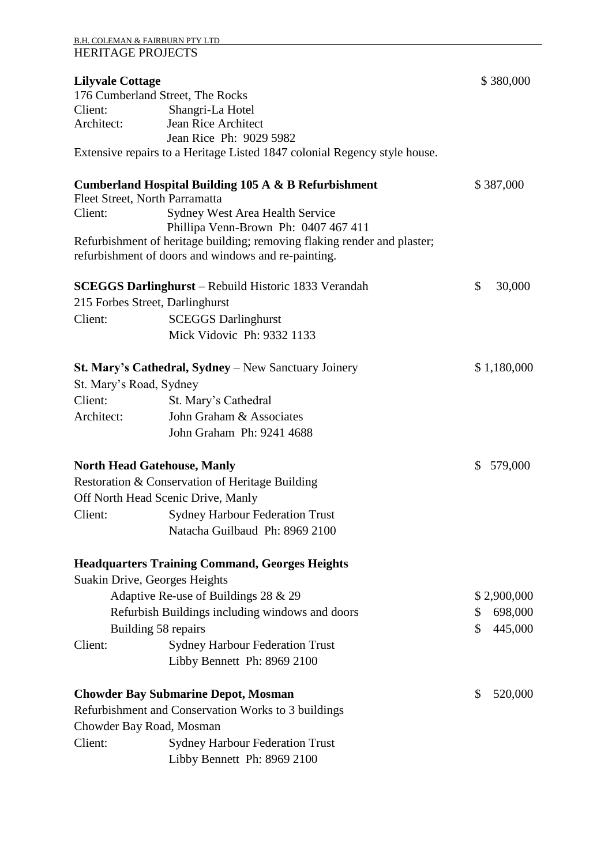## B.H. COLEMAN & FAIRBURN PTY LTD HERITAGE PROJECTS

| <b>Lilyvale Cottage</b> |                                                                                                                  | \$380,000              |  |
|-------------------------|------------------------------------------------------------------------------------------------------------------|------------------------|--|
|                         | 176 Cumberland Street, The Rocks                                                                                 |                        |  |
| Client:                 | Shangri-La Hotel                                                                                                 |                        |  |
| Architect:              | Jean Rice Architect                                                                                              |                        |  |
|                         | Jean Rice Ph: 9029 5982                                                                                          |                        |  |
|                         | Extensive repairs to a Heritage Listed 1847 colonial Regency style house.                                        |                        |  |
|                         | <b>Cumberland Hospital Building 105 A &amp; B Refurbishment</b>                                                  | \$387,000              |  |
|                         | Fleet Street, North Parramatta                                                                                   |                        |  |
| Client:                 | Sydney West Area Health Service                                                                                  |                        |  |
|                         | Phillipa Venn-Brown Ph: 0407 467 411<br>Refurbishment of heritage building; removing flaking render and plaster; |                        |  |
|                         | refurbishment of doors and windows and re-painting.                                                              |                        |  |
|                         | <b>SCEGGS Darlinghurst</b> – Rebuild Historic 1833 Verandah                                                      | $\mathbb{S}$<br>30,000 |  |
|                         | 215 Forbes Street, Darlinghurst                                                                                  |                        |  |
| Client:                 | <b>SCEGGS Darlinghurst</b>                                                                                       |                        |  |
|                         | Mick Vidovic Ph: 9332 1133                                                                                       |                        |  |
|                         |                                                                                                                  |                        |  |
|                         | <b>St. Mary's Cathedral, Sydney</b> – New Sanctuary Joinery                                                      | \$1,180,000            |  |
| St. Mary's Road, Sydney |                                                                                                                  |                        |  |
| Client:                 | St. Mary's Cathedral                                                                                             |                        |  |
| Architect:              | John Graham & Associates                                                                                         |                        |  |
|                         | John Graham Ph: 9241 4688                                                                                        |                        |  |
|                         | <b>North Head Gatehouse, Manly</b>                                                                               | \$579,000              |  |
|                         | Restoration & Conservation of Heritage Building                                                                  |                        |  |
|                         | Off North Head Scenic Drive, Manly                                                                               |                        |  |
| Client:                 | <b>Sydney Harbour Federation Trust</b>                                                                           |                        |  |
|                         | Natacha Guilbaud Ph: 8969 2100                                                                                   |                        |  |
|                         | <b>Headquarters Training Command, Georges Heights</b>                                                            |                        |  |
|                         | Suakin Drive, Georges Heights                                                                                    |                        |  |
|                         | Adaptive Re-use of Buildings 28 & 29                                                                             | \$2,900,000            |  |
|                         | Refurbish Buildings including windows and doors                                                                  | 698,000<br>\$          |  |
|                         | Building 58 repairs                                                                                              | 445,000<br>\$          |  |
| Client:                 | <b>Sydney Harbour Federation Trust</b>                                                                           |                        |  |
|                         | Libby Bennett Ph: 8969 2100                                                                                      |                        |  |
|                         | <b>Chowder Bay Submarine Depot, Mosman</b>                                                                       | \$<br>520,000          |  |
|                         | Refurbishment and Conservation Works to 3 buildings                                                              |                        |  |
|                         | Chowder Bay Road, Mosman                                                                                         |                        |  |
| Client:                 | <b>Sydney Harbour Federation Trust</b>                                                                           |                        |  |
|                         | Libby Bennett Ph: 8969 2100                                                                                      |                        |  |
|                         |                                                                                                                  |                        |  |